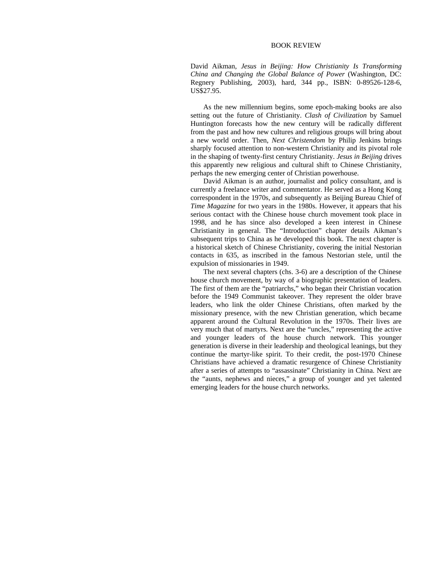## BOOK REVIEW

David Aikman, *Jesus in Beijing: How Christianity Is Transforming China and Changing the Global Balance of Power* (Washington, DC: Regnery Publishing, 2003), hard, 344 pp., ISBN: 0-89526-128-6, US\$27.95.

As the new millennium begins, some epoch-making books are also setting out the future of Christianity. *Clash of Civilization* by Samuel Huntington forecasts how the new century will be radically different from the past and how new cultures and religious groups will bring about a new world order. Then, *Next Christendom* by Philip Jenkins brings sharply focused attention to non-western Christianity and its pivotal role in the shaping of twenty-first century Christianity. *Jesus in Beijing* drives this apparently new religious and cultural shift to Chinese Christianity, perhaps the new emerging center of Christian powerhouse.

David Aikman is an author, journalist and policy consultant, and is currently a freelance writer and commentator. He served as a Hong Kong correspondent in the 1970s, and subsequently as Beijing Bureau Chief of *Time Magazine* for two years in the 1980s. However, it appears that his serious contact with the Chinese house church movement took place in 1998, and he has since also developed a keen interest in Chinese Christianity in general. The "Introduction" chapter details Aikman's subsequent trips to China as he developed this book. The next chapter is a historical sketch of Chinese Christianity, covering the initial Nestorian contacts in 635, as inscribed in the famous Nestorian stele, until the expulsion of missionaries in 1949.

The next several chapters (chs. 3-6) are a description of the Chinese house church movement, by way of a biographic presentation of leaders. The first of them are the "patriarchs," who began their Christian vocation before the 1949 Communist takeover. They represent the older brave leaders, who link the older Chinese Christians, often marked by the missionary presence, with the new Christian generation, which became apparent around the Cultural Revolution in the 1970s. Their lives are very much that of martyrs. Next are the "uncles," representing the active and younger leaders of the house church network. This younger generation is diverse in their leadership and theological leanings, but they continue the martyr-like spirit. To their credit, the post-1970 Chinese Christians have achieved a dramatic resurgence of Chinese Christianity after a series of attempts to "assassinate" Christianity in China. Next are the "aunts, nephews and nieces," a group of younger and yet talented emerging leaders for the house church networks.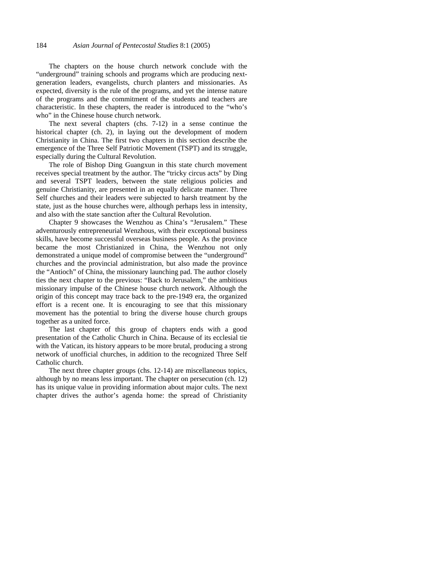The chapters on the house church network conclude with the "underground" training schools and programs which are producing nextgeneration leaders, evangelists, church planters and missionaries. As expected, diversity is the rule of the programs, and yet the intense nature of the programs and the commitment of the students and teachers are characteristic. In these chapters, the reader is introduced to the "who's who" in the Chinese house church network.

The next several chapters (chs. 7-12) in a sense continue the historical chapter (ch. 2), in laying out the development of modern Christianity in China. The first two chapters in this section describe the emergence of the Three Self Patriotic Movement (TSPT) and its struggle, especially during the Cultural Revolution.

The role of Bishop Ding Guangxun in this state church movement receives special treatment by the author. The "tricky circus acts" by Ding and several TSPT leaders, between the state religious policies and genuine Christianity, are presented in an equally delicate manner. Three Self churches and their leaders were subjected to harsh treatment by the state, just as the house churches were, although perhaps less in intensity, and also with the state sanction after the Cultural Revolution.

Chapter 9 showcases the Wenzhou as China's "Jerusalem." These adventurously entrepreneurial Wenzhous, with their exceptional business skills, have become successful overseas business people. As the province became the most Christianized in China, the Wenzhou not only demonstrated a unique model of compromise between the "underground" churches and the provincial administration, but also made the province the "Antioch" of China, the missionary launching pad. The author closely ties the next chapter to the previous: "Back to Jerusalem," the ambitious missionary impulse of the Chinese house church network. Although the origin of this concept may trace back to the pre-1949 era, the organized effort is a recent one. It is encouraging to see that this missionary movement has the potential to bring the diverse house church groups together as a united force.

The last chapter of this group of chapters ends with a good presentation of the Catholic Church in China. Because of its ecclesial tie with the Vatican, its history appears to be more brutal, producing a strong network of unofficial churches, in addition to the recognized Three Self Catholic church.

The next three chapter groups (chs. 12-14) are miscellaneous topics, although by no means less important. The chapter on persecution (ch. 12) has its unique value in providing information about major cults. The next chapter drives the author's agenda home: the spread of Christianity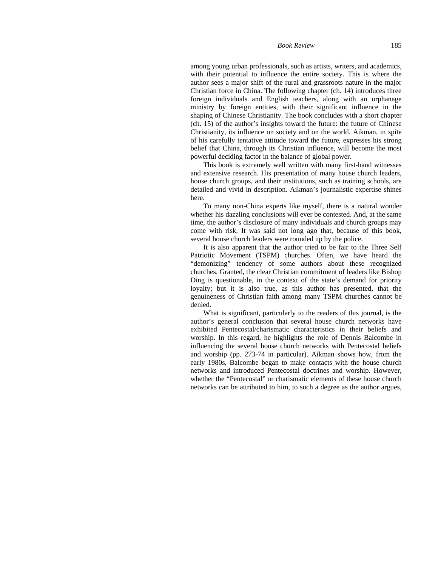## *Book Review* 185

among young urban professionals, such as artists, writers, and academics, with their potential to influence the entire society. This is where the author sees a major shift of the rural and grassroots nature in the major Christian force in China. The following chapter (ch. 14) introduces three foreign individuals and English teachers, along with an orphanage ministry by foreign entities, with their significant influence in the shaping of Chinese Christianity. The book concludes with a short chapter (ch. 15) of the author's insights toward the future: the future of Chinese Christianity, its influence on society and on the world. Aikman, in spite of his carefully tentative attitude toward the future, expresses his strong belief that China, through its Christian influence, will become the most powerful deciding factor in the balance of global power.

This book is extremely well written with many first-hand witnesses and extensive research. His presentation of many house church leaders, house church groups, and their institutions, such as training schools, are detailed and vivid in description. Aikman's journalistic expertise shines here.

To many non-China experts like myself, there is a natural wonder whether his dazzling conclusions will ever be contested. And, at the same time, the author's disclosure of many individuals and church groups may come with risk. It was said not long ago that, because of this book, several house church leaders were rounded up by the police.

It is also apparent that the author tried to be fair to the Three Self Patriotic Movement (TSPM) churches. Often, we have heard the "demonizing" tendency of some authors about these recognized churches. Granted, the clear Christian commitment of leaders like Bishop Ding is questionable, in the context of the state's demand for priority loyalty; but it is also true, as this author has presented, that the genuineness of Christian faith among many TSPM churches cannot be denied.

What is significant, particularly to the readers of this journal, is the author's general conclusion that several house church networks have exhibited Pentecostal/charismatic characteristics in their beliefs and worship. In this regard, he highlights the role of Dennis Balcombe in influencing the several house church networks with Pentecostal beliefs and worship (pp. 273-74 in particular). Aikman shows how, from the early 1980s, Balcombe began to make contacts with the house church networks and introduced Pentecostal doctrines and worship. However, whether the "Pentecostal" or charismatic elements of these house church networks can be attributed to him, to such a degree as the author argues,